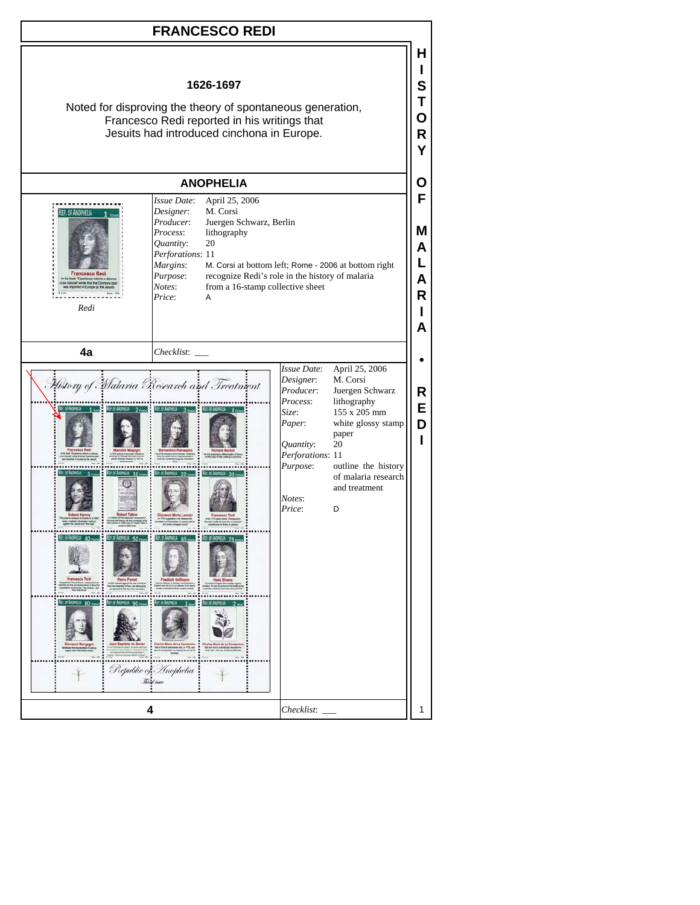